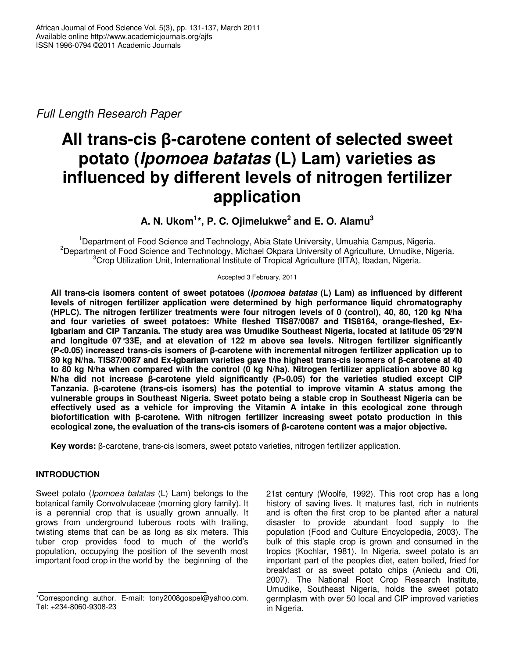Full Length Research Paper

# **All trans-cis β-carotene content of selected sweet potato (Ipomoea batatas (L) Lam) varieties as influenced by different levels of nitrogen fertilizer application**

**A. N. Ukom<sup>1</sup> \*, P. C. Ojimelukwe<sup>2</sup> and E. O. Alamu<sup>3</sup>**

<sup>1</sup>Department of Food Science and Technology, Abia State University, Umuahia Campus, Nigeria. <sup>2</sup>Department of Food Science and Technology, Michael Okpara University of Agriculture, Umudike, Nigeria.  $3$ Crop Utilization Unit, International Institute of Tropical Agriculture (IITA), Ibadan, Nigeria.

Accepted 3 February, 2011

**All trans-cis isomers content of sweet potatoes (Ipomoea batatas (L) Lam) as influenced by different levels of nitrogen fertilizer application were determined by high performance liquid chromatography (HPLC). The nitrogen fertilizer treatments were four nitrogen levels of 0 (control), 40, 80, 120 kg N/ha and four varieties of sweet potatoes: White fleshed TIS87/0087 and TIS8164, orange-fleshed, Ex-Igbariam and CIP Tanzania. The study area was Umudike Southeast Nigeria, located at latitude 05°29'N and longitude 07°33E, and at elevation of 122 m above sea levels. Nitrogen fertilizer significantly (P<0.05) increased trans-cis isomers of β-carotene with incremental nitrogen fertilizer application up to 80 kg N/ha. TIS87/0087 and Ex-Igbariam varieties gave the highest trans-cis isomers of β-carotene at 40 to 80 kg N/ha when compared with the control (0 kg N/ha). Nitrogen fertilizer application above 80 kg N/ha did not increase β-carotene yield significantly (P>0.05) for the varieties studied except CIP Tanzania. β-carotene (trans-cis isomers) has the potential to improve vitamin A status among the vulnerable groups in Southeast Nigeria. Sweet potato being a stable crop in Southeast Nigeria can be effectively used as a vehicle for improving the Vitamin A intake in this ecological zone through biofortification with β-carotene. With nitrogen fertilizer increasing sweet potato production in this ecological zone, the evaluation of the trans-cis isomers of β-carotene content was a major objective.** 

**Key words:** β-carotene, trans-cis isomers, sweet potato varieties, nitrogen fertilizer application.

# **INTRODUCTION**

Sweet potato (*Ipomoea batatas* (L) Lam) belongs to the botanical family Convolvulaceae (morning glory family). It is a perennial crop that is usually grown annually. It grows from underground tuberous roots with trailing, twisting stems that can be as long as six meters. This tuber crop provides food to much of the world's population, occupying the position of the seventh most important food crop in the world by the beginning of the

21st century (Woolfe, 1992). This root crop has a long history of saving lives. It matures fast, rich in nutrients and is often the first crop to be planted after a natural disaster to provide abundant food supply to the population (Food and Culture Encyclopedia, 2003). The bulk of this staple crop is grown and consumed in the tropics (Kochlar, 1981). In Nigeria, sweet potato is an important part of the peoples diet, eaten boiled, fried for breakfast or as sweet potato chips (Aniedu and Oti, 2007). The National Root Crop Research Institute, Umudike, Southeast Nigeria, holds the sweet potato germplasm with over 50 local and CIP improved varieties in Nigeria.

<sup>\*</sup>Corresponding author. E-mail: tony2008gospel@yahoo.com. Tel: +234-8060-9308-23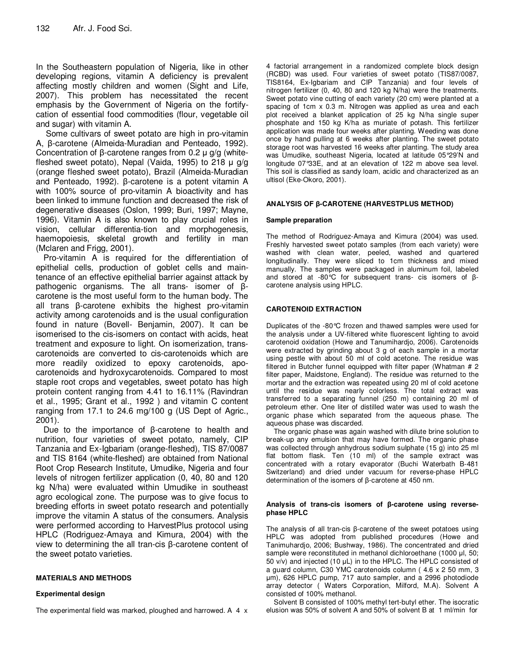In the Southeastern population of Nigeria, like in other developing regions, vitamin A deficiency is prevalent affecting mostly children and women (Sight and Life, 2007). This problem has necessitated the recent emphasis by the Government of Nigeria on the fortifycation of essential food commodities (flour, vegetable oil and sugar) with vitamin A.

 Some cultivars of sweet potato are high in pro-vitamin A, β-carotene (Almeida-Muradian and Penteado, 1992). Concentration of β-carotene ranges from 0.2 µ g/g (whitefleshed sweet potato), Nepal (Vaida, 1995) to 218  $\mu$  g/g (orange fleshed sweet potato), Brazil (Almeida-Muradian and Penteado, 1992). β-carotene is a potent vitamin A with 100% source of pro-vitamin A bioactivity and has been linked to immune function and decreased the risk of degenerative diseases (Oslon, 1999; Buri, 1997; Mayne, 1996). Vitamin A is also known to play crucial roles in vision, cellular differentia-tion and morphogenesis, haemopoiesis, skeletal growth and fertility in man (Mclaren and Frigg, 2001).

Pro-vitamin A is required for the differentiation of epithelial cells, production of goblet cells and maintenance of an effective epithelial barrier against attack by pathogenic organisms. The all trans- isomer of βcarotene is the most useful form to the human body. The all trans β-carotene exhibits the highest pro-vitamin activity among carotenoids and is the usual configuration found in nature (Bovell- Benjamin, 2007). It can be isomerised to the cis-isomers on contact with acids, heat treatment and exposure to light. On isomerization, transcarotenoids are converted to cis-carotenoids which are more readily oxidized to epoxy carotenoids, apocarotenoids and hydroxycarotenoids. Compared to most staple root crops and vegetables, sweet potato has high protein content ranging from 4.41 to 16.11% (Ravindran et al., 1995; Grant et al., 1992 ) and vitamin C content ranging from 17.1 to 24.6 mg/100 g (US Dept of Agric., 2001).

Due to the importance of β-carotene to health and nutrition, four varieties of sweet potato, namely, CIP Tanzania and Ex-Igbariam (orange-fleshed), TIS 87/0087 and TIS 8164 (white-fleshed) are obtained from National Root Crop Research Institute, Umudike, Nigeria and four levels of nitrogen fertilizer application (0, 40, 80 and 120 kg N/ha) were evaluated within Umudike in southeast agro ecological zone. The purpose was to give focus to breeding efforts in sweet potato research and potentially improve the vitamin A status of the consumers. Analysis were performed according to HarvestPlus protocol using HPLC (Rodriguez-Amaya and Kimura, 2004) with the view to determining the all tran-cis β-carotene content of the sweet potato varieties.

## **MATERIALS AND METHODS**

## **Experimental design**

The experimental field was marked, ploughed and harrowed. A 4 x

4 factorial arrangement in a randomized complete block design (RCBD) was used. Four varieties of sweet potato (TIS87/0087, TIS8164, Ex-Igbariam and CIP Tanzania) and four levels of nitrogen fertilizer (0, 40, 80 and 120 kg N/ha) were the treatments. Sweet potato vine cutting of each variety (20 cm) were planted at a spacing of 1cm x 0.3 m. Nitrogen was applied as urea and each plot received a blanket application of 25 kg N/ha single super phosphate and 150 kg K/ha as muriate of potash. This fertilizer application was made four weeks after planting. Weeding was done once by hand pulling at 6 weeks after planting. The sweet potato storage root was harvested 16 weeks after planting. The study area was Umudike, southeast Nigeria, located at latitude 05°29'N and longitude 07°33E, and at an elevation of 122 m above sea level. This soil is classified as sandy loam, acidic and characterized as an ultisol (Eke-Okoro, 2001).

## **ANALYSIS OF β-CAROTENE (HARVESTPLUS METHOD)**

#### **Sample preparation**

The method of Rodriguez-Amaya and Kimura (2004) was used. Freshly harvested sweet potato samples (from each variety) were washed with clean water, peeled, washed and quartered longitudinally. They were sliced to 1cm thickness and mixed manually. The samples were packaged in aluminum foil, labeled and stored at -80°C for subsequent trans- cis isomers of βcarotene analysis using HPLC.

# **CAROTENOID EXTRACTION**

Duplicates of the -80°C frozen and thawed samples were used for the analysis under a UV-filtered white fluorescent lighting to avoid carotenoid oxidation (Howe and Tanumihardjo, 2006). Carotenoids were extracted by grinding about 3 g of each sample in a mortar using pestle with about 50 ml of cold acetone. The residue was filtered in Butcher funnel equipped with filter paper (Whatman # 2 filter paper, Maidstone, England). The residue was returned to the mortar and the extraction was repeated using 20 ml of cold acetone until the residue was nearly colorless. The total extract was transferred to a separating funnel (250 m) containing 20 ml of petroleum ether. One liter of distilled water was used to wash the organic phase which separated from the aqueous phase. The aqueous phase was discarded.

The organic phase was again washed with dilute brine solution to break-up any emulsion that may have formed. The organic phase was collected through anhydrous sodium sulphate (15 g) into 25 ml flat bottom flask. Ten (10 ml) of the sample extract was concentrated with a rotary evaporator (Buchi Waterbath B-481 Switzerland) and dried under vacuum for reverse-phase HPLC determination of the isomers of β-carotene at 450 nm.

#### **Analysis of trans-cis isomers of β-carotene using reversephase HPLC**

The analysis of all tran-cis β-carotene of the sweet potatoes using HPLC was adopted from published procedures (Howe and Tanimuhardjo, 2006; Bushway, 1986). The concentrated and dried sample were reconstituted in methanol dichloroethane (1000 µl, 50; 50 v/v) and injected (10 µL) in to the HPLC. The HPLC consisted of a guard column, C30 YMC carotenoids column ( 4.6 x 2 50 mm, 3 µm), 626 HPLC pump, 717 auto sampler, and a 2996 photodiode array detector ( Waters Corporation, Milford, M.A). Solvent A consisted of 100% methanol.

Solvent B consisted of 100% methyl tert-butyl ether. The isocratic elusion was 50% of solvent A and 50% of solvent B at 1 ml/min for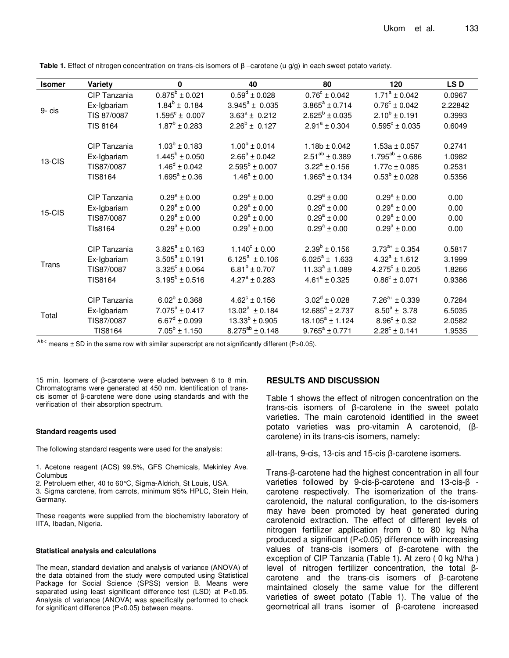| <b>Isomer</b> | Variety        | $\mathbf 0$                 | 40                       | 80                    | 120                       | LS D    |
|---------------|----------------|-----------------------------|--------------------------|-----------------------|---------------------------|---------|
| 9- cis        | CIP Tanzania   | $0.875^b \pm 0.021$         | $0.59^d \pm 0.028$       | $0.76^c \pm 0.042$    | $1.71^a \pm 0.042$        | 0.0967  |
|               | Ex-Igbariam    | $1.84^b \pm 0.184$          | $3.945^a \pm 0.035$      | $3.865^a \pm 0.714$   | $0.76^{\circ} \pm 0.042$  | 2.22842 |
|               | TIS 87/0087    | $1.595^{\circ} \pm 0.007$   | $3.63^a \pm 0.212$       | $2.625^b \pm 0.035$   | $2.10^b \pm 0.191$        | 0.3993  |
|               | TIS 8164       | $1.87^b \pm 0.283$          | $2.26^b \pm 0.127$       | $2.91^a \pm 0.304$    | $0.595^{\circ} \pm 0.035$ | 0.6049  |
| 13-CIS        | CIP Tanzania   | $1.03^b \pm 0.183$          | $1.00^b \pm 0.014$       | $1.18b \pm 0.042$     | $1.53a \pm 0.057$         | 0.2741  |
|               | Ex-Igbariam    | $1.445^b \pm 0.050$         | $2.66^a \pm 0.042$       | $2.51^{ab} \pm 0.389$ | $1.795^{ab} \pm 0.686$    | 1.0982  |
|               | TIS87/0087     | $1.46^d \pm 0.042$          | $2.595^b \pm 0.007$      | $3.22^a \pm 0.156$    | $1.77c \pm 0.085$         | 0.2531  |
|               | <b>TIS8164</b> | $1.695^a \pm 0.36$          | $1.46^a \pm 0.00$        | $1.965^a \pm 0.134$   | $0.53^b \pm 0.028$        | 0.5356  |
| 15-CIS        | CIP Tanzania   | $0.29^a \pm 0.00$           | $0.29^a \pm 0.00$        | $0.29^a \pm 0.00$     | $0.29^a \pm 0.00$         | 0.00    |
|               | Ex-Igbariam    | $0.29^a \pm 0.00$           | $0.29^a \pm 0.00$        | $0.29^a \pm 0.00$     | $0.29^a \pm 0.00$         | 0.00    |
|               | TIS87/0087     | $0.29^a \pm 0.00$           | $0.29^a \pm 0.00$        | $0.29^a \pm 0.00$     | $0.29^a \pm 0.00$         | 0.00    |
|               | TIs8164        | $0.29^a \pm 0.00$           | $0.29^a \pm 0.00$        | $0.29^a \pm 0.00$     | $0.29^a \pm 0.00$         | 0.00    |
| Trans         | CIP Tanzania   | $3.825^a \pm 0.163$         | $1.140^{\circ} \pm 0.00$ | $2.39^b \pm 0.156$    | $3.73^{a+} \pm 0.354$     | 0.5817  |
|               | Ex-Igbariam    | $3.505^a \pm 0.191$         | $6.125^a \pm 0.106$      | $6.025^a \pm 1.633$   | $4.32^a \pm 1.612$        | 3.1999  |
|               | TIS87/0087     | $3.325^{\circ} \pm 0.064$   | $6.81^b \pm 0.707$       | $11.33^a \pm 1.089$   | $4.275^{\circ} \pm 0.205$ | 1.8266  |
|               | <b>TIS8164</b> | $3.195^b \pm 0.516$         | $4.27^a \pm 0.283$       | $4.61^a \pm 0.325$    | $0.86^c \pm 0.071$        | 0.9386  |
| Total         | CIP Tanzania   | $6.02^b \pm 0.368$          | $4.62^{\circ} \pm 0.156$ | $3.02^d \pm 0.028$    | $7.26^{a+} \pm 0.339$     | 0.7284  |
|               | Ex-Igbariam    | $7.075^a \pm 0.417$         | $13.02^a \pm 0.184$      | $12.685^a \pm 2.737$  | $8.50^a \pm 3.78$         | 6.5035  |
|               | TIS87/0087     | $6.67^{\text{d}} \pm 0.099$ | $13.33^{b} \pm 0.905$    | $18.105^a \pm 1.124$  | $8.96^{\circ} \pm 0.32$   | 2.0582  |
|               | <b>TIS8164</b> | $7.05^b \pm 1.150$          | $8.275^{ab} \pm 0.148$   | $9.765^a \pm 0.771$   | $2.28^c \pm 0.141$        | 1.9535  |

**Table 1.** Effect of nitrogen concentration on trans-cis isomers of β –carotene (u g/g) in each sweet potato variety.

 $A_{bc}$  means  $\pm$  SD in the same row with similar superscript are not significantly different (P>0.05).

15 min. Isomers of β-carotene were eluded between 6 to 8 min. Chromatograms were generated at 450 nm. Identification of transcis isomer of β-carotene were done using standards and with the verification of their absorption spectrum.

#### **Standard reagents used**

The following standard reagents were used for the analysis:

- 1. Acetone reagent (ACS) 99.5%, GFS Chemicals, Mekinley Ave. Columbus
- 2. Petroluem ether, 40 to 60°C, Sigma-Aldrich, St Louis, USA.

3. Sigma carotene, from carrots, minimum 95% HPLC, Stein Hein, Germany.

These reagents were supplied from the biochemistry laboratory of IITA, Ibadan, Nigeria.

#### **Statistical analysis and calculations**

The mean, standard deviation and analysis of variance (ANOVA) of the data obtained from the study were computed using Statistical Package for Social Science (SPSS) version B. Means were separated using least significant difference test (LSD) at P<0.05. Analysis of variance (ANOVA) was specifically performed to check for significant difference (P<0.05) between means.

# **RESULTS AND DISCUSSION**

Table 1 shows the effect of nitrogen concentration on the trans-cis isomers of β-carotene in the sweet potato varieties. The main carotenoid identified in the sweet potato varieties was pro-vitamin A carotenoid, (βcarotene) in its trans-cis isomers, namely:

all-trans, 9-cis, 13-cis and 15-cis β-carotene isomers.

Trans-β-carotene had the highest concentration in all four varieties followed by 9-cis-β-carotene and 13-cis-β carotene respectively. The isomerization of the transcarotenoid, the natural configuration, to the cis-isomers may have been promoted by heat generated during carotenoid extraction. The effect of different levels of nitrogen fertilizer application from 0 to 80 kg N/ha produced a significant (P<0.05) difference with increasing values of trans-cis isomers of β-carotene with the exception of CIP Tanzania (Table 1). At zero ( 0 kg N/ha ) level of nitrogen fertilizer concentration, the total βcarotene and the trans-cis isomers of β-carotene maintained closely the same value for the different varieties of sweet potato (Table 1). The value of the geometrical all trans isomer of β-carotene increased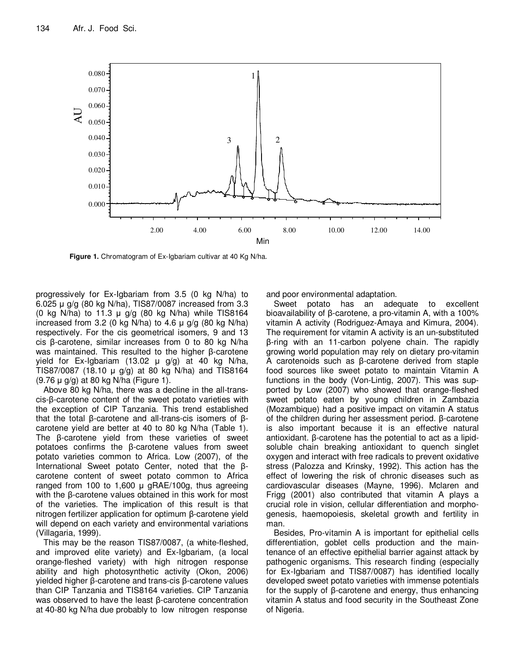

**Figure 1.** Chromatogram of Ex-Igbariam cultivar at 40 Kg N/ha.

progressively for Ex-Igbariam from 3.5 (0 kg N/ha) to 6.025 µ g/g (80 kg N/ha), TIS87/0087 increased from 3.3 (0 kg N/ha) to 11.3  $\mu$  g/g (80 kg N/ha) while TIS8164 increased from 3.2 (0 kg N/ha) to 4.6  $\mu$  g/g (80 kg N/ha) respectively. For the cis geometrical isomers, 9 and 13 cis β-carotene, similar increases from 0 to 80 kg N/ha was maintained. This resulted to the higher β-carotene yield for Ex-Igbariam (13.02  $\mu$  g/g) at 40 kg N/ha, TIS87/0087 (18.10  $\mu$  g/g) at 80 kg N/ha) and TIS8164 (9.76 µ g/g) at 80 kg N/ha (Figure 1).

Above 80 kg N/ha, there was a decline in the all-transcis-β-carotene content of the sweet potato varieties with the exception of CIP Tanzania. This trend established that the total β-carotene and all-trans-cis isomers of βcarotene yield are better at 40 to 80 kg N/ha (Table 1). The β-carotene yield from these varieties of sweet potatoes confirms the β-carotene values from sweet potato varieties common to Africa. Low (2007), of the International Sweet potato Center, noted that the βcarotene content of sweet potato common to Africa ranged from 100 to 1,600  $\mu$  gRAE/100g, thus agreeing with the β-carotene values obtained in this work for most of the varieties. The implication of this result is that nitrogen fertilizer application for optimum β-carotene yield will depend on each variety and environmental variations (Villagaria, 1999).

This may be the reason TIS87/0087, (a white-fleshed, and improved elite variety) and Ex-Igbariam, (a local orange-fleshed variety) with high nitrogen response ability and high photosynthetic activity (Okon, 2006) yielded higher β-carotene and trans-cis β-carotene values than CIP Tanzania and TIS8164 varieties. CIP Tanzania was observed to have the least β-carotene concentration at 40-80 kg N/ha due probably to low nitrogen response

and poor environmental adaptation.

Sweet potato has an adequate to excellent bioavailability of β-carotene, a pro-vitamin A, with a 100% vitamin A activity (Rodriguez-Amaya and Kimura, 2004). The requirement for vitamin A activity is an un-substituted β-ring with an 11-carbon polyene chain. The rapidly growing world population may rely on dietary pro-vitamin A carotenoids such as β-carotene derived from staple food sources like sweet potato to maintain Vitamin A functions in the body (Von-Lintig, 2007). This was supported by Low (2007) who showed that orange-fleshed sweet potato eaten by young children in Zambazia (Mozambique) had a positive impact on vitamin A status of the children during her assessment period. β-carotene is also important because it is an effective natural antioxidant. β-carotene has the potential to act as a lipidsoluble chain breaking antioxidant to quench singlet oxygen and interact with free radicals to prevent oxidative stress (Palozza and Krinsky, 1992). This action has the effect of lowering the risk of chronic diseases such as cardiovascular diseases (Mayne, 1996). Mclaren and Frigg (2001) also contributed that vitamin A plays a crucial role in vision, cellular differentiation and morphogenesis, haemopoiesis, skeletal growth and fertility in man.

Besides, Pro-vitamin A is important for epithelial cells differentiation, goblet cells production and the maintenance of an effective epithelial barrier against attack by pathogenic organisms. This research finding (especially for Ex-Igbariam and TIS87/0087) has identified locally developed sweet potato varieties with immense potentials for the supply of β-carotene and energy, thus enhancing vitamin A status and food security in the Southeast Zone of Nigeria.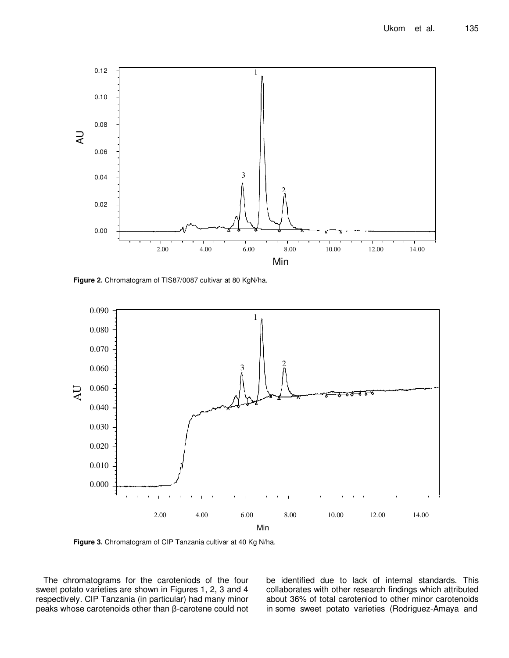

**Figure 2.** Chromatogram of TIS87/0087 cultivar at 80 KgN/ha.



**Figure 3.** Chromatogram of CIP Tanzania cultivar at 40 Kg N/ha.

The chromatograms for the caroteniods of the four sweet potato varieties are shown in Figures 1, 2, 3 and 4 respectively. CIP Tanzania (in particular) had many minor peaks whose carotenoids other than β-carotene could not be identified due to lack of internal standards. This collaborates with other research findings which attributed about 36% of total caroteniod to other minor carotenoids in some sweet potato varieties (Rodriguez-Amaya and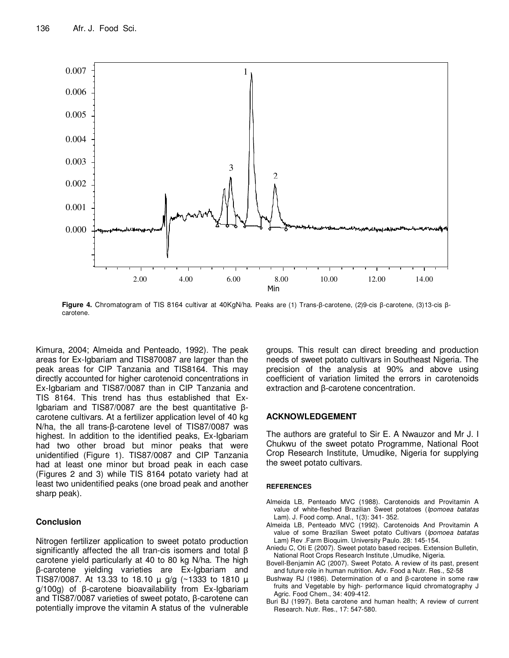

**Figure 4.** Chromatogram of TIS 8164 cultivar at 40KgN/ha. Peaks are (1) Trans-β-carotene, (2)9-cis β-carotene, (3)13-cis βcarotene.

Kimura, 2004; Almeida and Penteado, 1992). The peak areas for Ex-Igbariam and TIS870087 are larger than the peak areas for CIP Tanzania and TIS8164. This may directly accounted for higher carotenoid concentrations in Ex-Igbariam and TIS87/0087 than in CIP Tanzania and TIS 8164. This trend has thus established that Ex-Igbariam and TIS87/0087 are the best quantitative βcarotene cultivars. At a fertilizer application level of 40 kg N/ha, the all trans-β-carotene level of TIS87/0087 was highest. In addition to the identified peaks, Ex-Igbariam had two other broad but minor peaks that were unidentified (Figure 1). TIS87/0087 and CIP Tanzania had at least one minor but broad peak in each case (Figures 2 and 3) while TIS 8164 potato variety had at least two unidentified peaks (one broad peak and another sharp peak).

# **Conclusion**

Nitrogen fertilizer application to sweet potato production significantly affected the all tran-cis isomers and total β carotene yield particularly at 40 to 80 kg N/ha. The high β-carotene yielding varieties are Ex-Igbariam and TIS87/0087. At 13.33 to 18.10 µ g/g (~1333 to 1810 µ g/100g) of β-carotene bioavailability from Ex-Igbariam and TIS87/0087 varieties of sweet potato, β-carotene can potentially improve the vitamin A status of the vulnerable

groups. This result can direct breeding and production needs of sweet potato cultivars in Southeast Nigeria. The precision of the analysis at 90% and above using coefficient of variation limited the errors in carotenoids extraction and β-carotene concentration.

## **ACKNOWLEDGEMENT**

The authors are grateful to Sir E. A Nwauzor and Mr J. I Chukwu of the sweet potato Programme, National Root Crop Research Institute, Umudike, Nigeria for supplying the sweet potato cultivars.

#### **REFERENCES**

- Almeida LB, Penteado MVC (1988). Carotenoids and Provitamin A value of white-fleshed Brazilian Sweet potatoes (Ipomoea batatas Lam). J. Food comp. Anal., 1(3): 341- 352.
- Almeida LB, Penteado MVC (1992). Carotenoids And Provitamin A value of some Brazilian Sweet potato Cultivars (Ipomoea batatas Lam) Rev .Farm Bioquim. University Paulo. 28: 145-154.
- Aniedu C, Oti E (2007). Sweet potato based recipes. Extension Bulletin, National Root Crops Research Institute ,Umudike, Nigeria.
- Bovell-Benjamin AC (2007). Sweet Potato. A review of its past, present and future role in human nutrition. Adv. Food a Nutr. Res., 52-58
- Bushway RJ (1986). Determination of α and β-carotene in some raw fruits and Vegetable by high- performance liquid chromatography J Agric. Food Chem., 34: 409-412.
- Buri BJ (1997). Beta carotene and human health; A review of current Research. Nutr. Res., 17: 547-580.